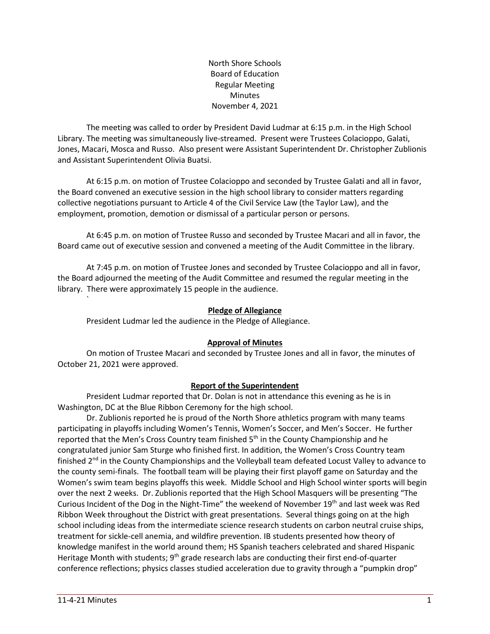North Shore Schools Board of Education Regular Meeting Minutes November 4, 2021

The meeting was called to order by President David Ludmar at 6:15 p.m. in the High School Library. The meeting was simultaneously live-streamed. Present were Trustees Colacioppo, Galati, Jones, Macari, Mosca and Russo. Also present were Assistant Superintendent Dr. Christopher Zublionis and Assistant Superintendent Olivia Buatsi.

At 6:15 p.m. on motion of Trustee Colacioppo and seconded by Trustee Galati and all in favor, the Board convened an executive session in the high school library to consider matters regarding collective negotiations pursuant to Article 4 of the Civil Service Law (the Taylor Law), and the employment, promotion, demotion or dismissal of a particular person or persons.

At 6:45 p.m. on motion of Trustee Russo and seconded by Trustee Macari and all in favor, the Board came out of executive session and convened a meeting of the Audit Committee in the library.

At 7:45 p.m. on motion of Trustee Jones and seconded by Trustee Colacioppo and all in favor, the Board adjourned the meeting of the Audit Committee and resumed the regular meeting in the library. There were approximately 15 people in the audience.

# **Pledge of Allegiance**

President Ludmar led the audience in the Pledge of Allegiance.

#### **Approval of Minutes**

On motion of Trustee Macari and seconded by Trustee Jones and all in favor, the minutes of October 21, 2021 were approved.

# **Report of the Superintendent**

President Ludmar reported that Dr. Dolan is not in attendance this evening as he is in Washington, DC at the Blue Ribbon Ceremony for the high school.

Dr. Zublionis reported he is proud of the North Shore athletics program with many teams participating in playoffs including Women's Tennis, Women's Soccer, and Men's Soccer. He further reported that the Men's Cross Country team finished 5<sup>th</sup> in the County Championship and he congratulated junior Sam Sturge who finished first. In addition, the Women's Cross Country team finished 2<sup>nd</sup> in the County Championships and the Volleyball team defeated Locust Valley to advance to the county semi-finals. The football team will be playing their first playoff game on Saturday and the Women's swim team begins playoffs this week. Middle School and High School winter sports will begin over the next 2 weeks. Dr. Zublionis reported that the High School Masquers will be presenting "The Curious Incident of the Dog in the Night-Time" the weekend of November 19th and last week was Red Ribbon Week throughout the District with great presentations. Several things going on at the high school including ideas from the intermediate science research students on carbon neutral cruise ships, treatment for sickle-cell anemia, and wildfire prevention. IB students presented how theory of knowledge manifest in the world around them; HS Spanish teachers celebrated and shared Hispanic Heritage Month with students; 9<sup>th</sup> grade research labs are conducting their first end-of-quarter conference reflections; physics classes studied acceleration due to gravity through a "pumpkin drop"

`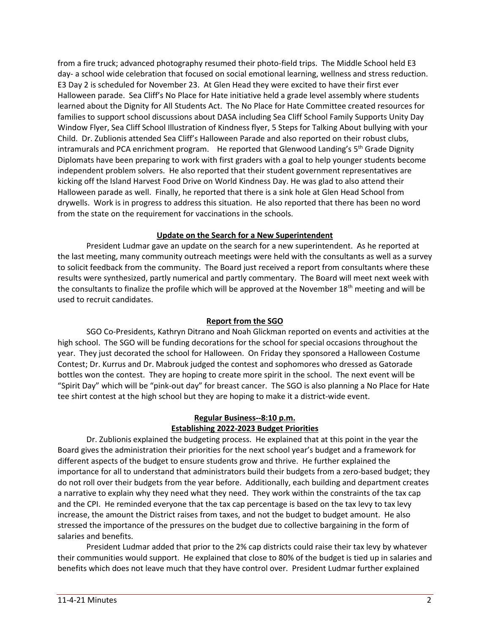from a fire truck; advanced photography resumed their photo-field trips. The Middle School held E3 day- a school wide celebration that focused on social emotional learning, wellness and stress reduction. E3 Day 2 is scheduled for November 23. At Glen Head they were excited to have their first ever Halloween parade. Sea Cliff's No Place for Hate initiative held a grade level assembly where students learned about the Dignity for All Students Act. The No Place for Hate Committee created resources for families to support school discussions about DASA including Sea Cliff School Family Supports Unity Day Window Flyer, Sea Cliff School Illustration of Kindness flyer, 5 Steps for Talking About bullying with your Child. Dr. Zublionis attended Sea Cliff's Halloween Parade and also reported on their robust clubs, intramurals and PCA enrichment program. He reported that Glenwood Landing's 5<sup>th</sup> Grade Dignity Diplomats have been preparing to work with first graders with a goal to help younger students become independent problem solvers. He also reported that their student government representatives are kicking off the Island Harvest Food Drive on World Kindness Day. He was glad to also attend their Halloween parade as well. Finally, he reported that there is a sink hole at Glen Head School from drywells. Work is in progress to address this situation. He also reported that there has been no word from the state on the requirement for vaccinations in the schools.

# **Update on the Search for a New Superintendent**

President Ludmar gave an update on the search for a new superintendent. As he reported at the last meeting, many community outreach meetings were held with the consultants as well as a survey to solicit feedback from the community. The Board just received a report from consultants where these results were synthesized, partly numerical and partly commentary. The Board will meet next week with the consultants to finalize the profile which will be approved at the November 18th meeting and will be used to recruit candidates.

# **Report from the SGO**

SGO Co-Presidents, Kathryn Ditrano and Noah Glickman reported on events and activities at the high school. The SGO will be funding decorations for the school for special occasions throughout the year. They just decorated the school for Halloween. On Friday they sponsored a Halloween Costume Contest; Dr. Kurrus and Dr. Mabrouk judged the contest and sophomores who dressed as Gatorade bottles won the contest. They are hoping to create more spirit in the school. The next event will be "Spirit Day" which will be "pink-out day" for breast cancer. The SGO is also planning a No Place for Hate tee shirt contest at the high school but they are hoping to make it a district-wide event.

# **Regular Business--8:10 p.m. Establishing 2022-2023 Budget Priorities**

Dr. Zublionis explained the budgeting process. He explained that at this point in the year the Board gives the administration their priorities for the next school year's budget and a framework for different aspects of the budget to ensure students grow and thrive. He further explained the importance for all to understand that administrators build their budgets from a zero-based budget; they do not roll over their budgets from the year before. Additionally, each building and department creates a narrative to explain why they need what they need. They work within the constraints of the tax cap and the CPI. He reminded everyone that the tax cap percentage is based on the tax levy to tax levy increase, the amount the District raises from taxes, and not the budget to budget amount. He also stressed the importance of the pressures on the budget due to collective bargaining in the form of salaries and benefits.

President Ludmar added that prior to the 2% cap districts could raise their tax levy by whatever their communities would support. He explained that close to 80% of the budget is tied up in salaries and benefits which does not leave much that they have control over. President Ludmar further explained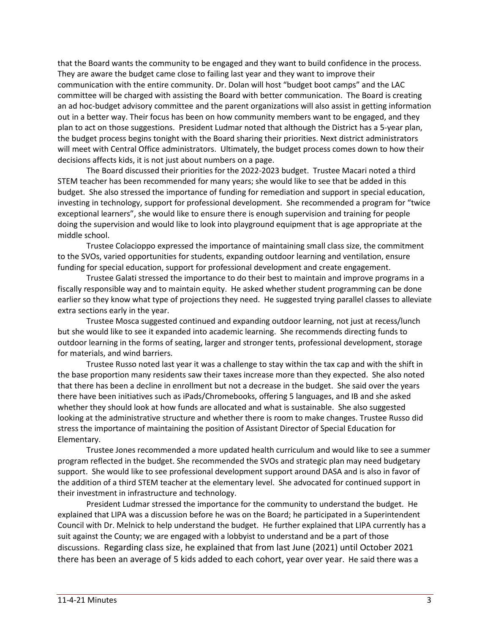that the Board wants the community to be engaged and they want to build confidence in the process. They are aware the budget came close to failing last year and they want to improve their communication with the entire community. Dr. Dolan will host "budget boot camps" and the LAC committee will be charged with assisting the Board with better communication. The Board is creating an ad hoc-budget advisory committee and the parent organizations will also assist in getting information out in a better way. Their focus has been on how community members want to be engaged, and they plan to act on those suggestions. President Ludmar noted that although the District has a 5-year plan, the budget process begins tonight with the Board sharing their priorities. Next district administrators will meet with Central Office administrators. Ultimately, the budget process comes down to how their decisions affects kids, it is not just about numbers on a page.

The Board discussed their priorities for the 2022-2023 budget. Trustee Macari noted a third STEM teacher has been recommended for many years; she would like to see that be added in this budget. She also stressed the importance of funding for remediation and support in special education, investing in technology, support for professional development. She recommended a program for "twice exceptional learners", she would like to ensure there is enough supervision and training for people doing the supervision and would like to look into playground equipment that is age appropriate at the middle school.

Trustee Colacioppo expressed the importance of maintaining small class size, the commitment to the SVOs, varied opportunities for students, expanding outdoor learning and ventilation, ensure funding for special education, support for professional development and create engagement.

Trustee Galati stressed the importance to do their best to maintain and improve programs in a fiscally responsible way and to maintain equity. He asked whether student programming can be done earlier so they know what type of projections they need. He suggested trying parallel classes to alleviate extra sections early in the year.

Trustee Mosca suggested continued and expanding outdoor learning, not just at recess/lunch but she would like to see it expanded into academic learning. She recommends directing funds to outdoor learning in the forms of seating, larger and stronger tents, professional development, storage for materials, and wind barriers.

Trustee Russo noted last year it was a challenge to stay within the tax cap and with the shift in the base proportion many residents saw their taxes increase more than they expected. She also noted that there has been a decline in enrollment but not a decrease in the budget. She said over the years there have been initiatives such as iPads/Chromebooks, offering 5 languages, and IB and she asked whether they should look at how funds are allocated and what is sustainable. She also suggested looking at the administrative structure and whether there is room to make changes. Trustee Russo did stress the importance of maintaining the position of Assistant Director of Special Education for Elementary.

Trustee Jones recommended a more updated health curriculum and would like to see a summer program reflected in the budget. She recommended the SVOs and strategic plan may need budgetary support. She would like to see professional development support around DASA and is also in favor of the addition of a third STEM teacher at the elementary level. She advocated for continued support in their investment in infrastructure and technology.

President Ludmar stressed the importance for the community to understand the budget. He explained that LIPA was a discussion before he was on the Board; he participated in a Superintendent Council with Dr. Melnick to help understand the budget. He further explained that LIPA currently has a suit against the County; we are engaged with a lobbyist to understand and be a part of those discussions. Regarding class size, he explained that from last June (2021) until October 2021 there has been an average of 5 kids added to each cohort, year over year. He said there was a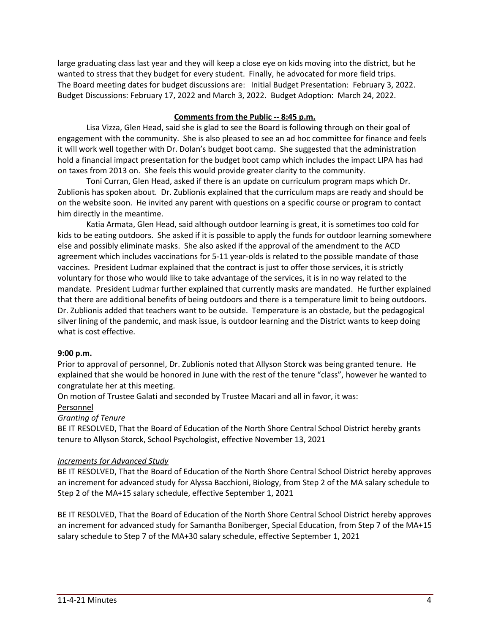large graduating class last year and they will keep a close eye on kids moving into the district, but he wanted to stress that they budget for every student. Finally, he advocated for more field trips. The Board meeting dates for budget discussions are: Initial Budget Presentation: February 3, 2022. Budget Discussions: February 17, 2022 and March 3, 2022. Budget Adoption: March 24, 2022.

# **Comments from the Public -- 8:45 p.m.**

Lisa Vizza, Glen Head, said she is glad to see the Board is following through on their goal of engagement with the community. She is also pleased to see an ad hoc committee for finance and feels it will work well together with Dr. Dolan's budget boot camp. She suggested that the administration hold a financial impact presentation for the budget boot camp which includes the impact LIPA has had on taxes from 2013 on. She feels this would provide greater clarity to the community.

Toni Curran, Glen Head, asked if there is an update on curriculum program maps which Dr. Zublionis has spoken about. Dr. Zublionis explained that the curriculum maps are ready and should be on the website soon. He invited any parent with questions on a specific course or program to contact him directly in the meantime.

Katia Armata, Glen Head, said although outdoor learning is great, it is sometimes too cold for kids to be eating outdoors. She asked if it is possible to apply the funds for outdoor learning somewhere else and possibly eliminate masks. She also asked if the approval of the amendment to the ACD agreement which includes vaccinations for 5-11 year-olds is related to the possible mandate of those vaccines. President Ludmar explained that the contract is just to offer those services, it is strictly voluntary for those who would like to take advantage of the services, it is in no way related to the mandate. President Ludmar further explained that currently masks are mandated. He further explained that there are additional benefits of being outdoors and there is a temperature limit to being outdoors. Dr. Zublionis added that teachers want to be outside. Temperature is an obstacle, but the pedagogical silver lining of the pandemic, and mask issue, is outdoor learning and the District wants to keep doing what is cost effective.

# **9:00 p.m.**

Prior to approval of personnel, Dr. Zublionis noted that Allyson Storck was being granted tenure. He explained that she would be honored in June with the rest of the tenure "class", however he wanted to congratulate her at this meeting.

On motion of Trustee Galati and seconded by Trustee Macari and all in favor, it was:

#### Personnel

# *Granting of Tenure*

BE IT RESOLVED, That the Board of Education of the North Shore Central School District hereby grants tenure to Allyson Storck, School Psychologist, effective November 13, 2021

# *Increments for Advanced Study*

BE IT RESOLVED, That the Board of Education of the North Shore Central School District hereby approves an increment for advanced study for Alyssa Bacchioni, Biology, from Step 2 of the MA salary schedule to Step 2 of the MA+15 salary schedule, effective September 1, 2021

BE IT RESOLVED, That the Board of Education of the North Shore Central School District hereby approves an increment for advanced study for Samantha Boniberger, Special Education, from Step 7 of the MA+15 salary schedule to Step 7 of the MA+30 salary schedule, effective September 1, 2021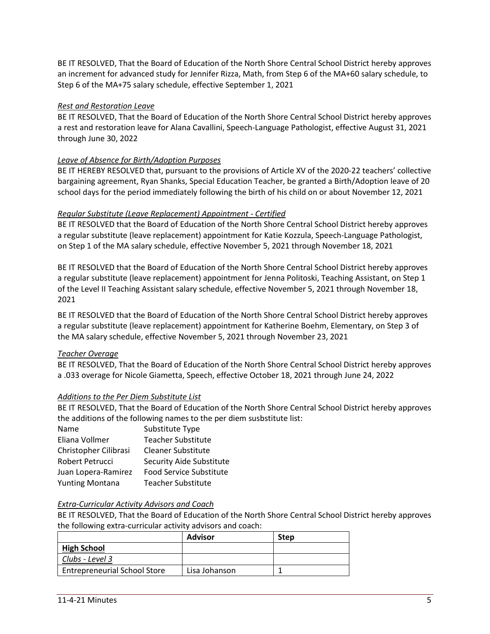BE IT RESOLVED, That the Board of Education of the North Shore Central School District hereby approves an increment for advanced study for Jennifer Rizza, Math, from Step 6 of the MA+60 salary schedule, to Step 6 of the MA+75 salary schedule, effective September 1, 2021

# *Rest and Restoration Leave*

BE IT RESOLVED, That the Board of Education of the North Shore Central School District hereby approves a rest and restoration leave for Alana Cavallini, Speech-Language Pathologist, effective August 31, 2021 through June 30, 2022

# *Leave of Absence for Birth/Adoption Purposes*

BE IT HEREBY RESOLVED that, pursuant to the provisions of Article XV of the 2020-22 teachers' collective bargaining agreement, Ryan Shanks, Special Education Teacher, be granted a Birth/Adoption leave of 20 school days for the period immediately following the birth of his child on or about November 12, 2021

# *Regular Substitute (Leave Replacement) Appointment - Certified*

BE IT RESOLVED that the Board of Education of the North Shore Central School District hereby approves a regular substitute (leave replacement) appointment for Katie Kozzula, Speech-Language Pathologist, on Step 1 of the MA salary schedule, effective November 5, 2021 through November 18, 2021

BE IT RESOLVED that the Board of Education of the North Shore Central School District hereby approves a regular substitute (leave replacement) appointment for Jenna Politoski, Teaching Assistant, on Step 1 of the Level II Teaching Assistant salary schedule, effective November 5, 2021 through November 18, 2021

BE IT RESOLVED that the Board of Education of the North Shore Central School District hereby approves a regular substitute (leave replacement) appointment for Katherine Boehm, Elementary, on Step 3 of the MA salary schedule, effective November 5, 2021 through November 23, 2021

# *Teacher Overage*

BE IT RESOLVED, That the Board of Education of the North Shore Central School District hereby approves a .033 overage for Nicole Giametta, Speech, effective October 18, 2021 through June 24, 2022

# *Additions to the Per Diem Substitute List*

BE IT RESOLVED, That the Board of Education of the North Shore Central School District hereby approves the additions of the following names to the per diem susbstitute list:

| Substitute Type                 |
|---------------------------------|
| <b>Teacher Substitute</b>       |
| Cleaner Substitute              |
| <b>Security Aide Substitute</b> |
| <b>Food Service Substitute</b>  |
| <b>Teacher Substitute</b>       |
|                                 |

# *Extra-Curricular Activity Advisors and Coach*

BE IT RESOLVED, That the Board of Education of the North Shore Central School District hereby approves the following extra-curricular activity advisors and coach:

|                                     | <b>Advisor</b> | <b>Step</b> |
|-------------------------------------|----------------|-------------|
| <b>High School</b>                  |                |             |
| Clubs - Level 3                     |                |             |
| <b>Entrepreneurial School Store</b> | Lisa Johanson  |             |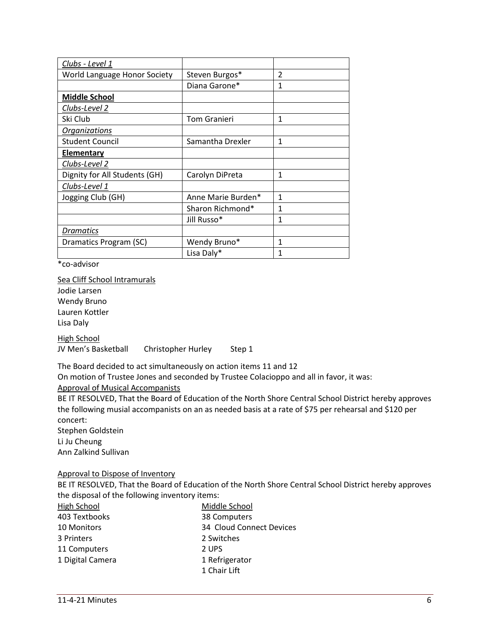| Clubs - Level 1               |                     |                |
|-------------------------------|---------------------|----------------|
| World Language Honor Society  | Steven Burgos*      | $\mathfrak{p}$ |
|                               | Diana Garone*       | $\mathbf{1}$   |
| <b>Middle School</b>          |                     |                |
| Clubs-Level 2                 |                     |                |
| Ski Club                      | <b>Tom Granieri</b> | 1              |
| <b>Organizations</b>          |                     |                |
| <b>Student Council</b>        | Samantha Drexler    | $\mathbf{1}$   |
| <b>Elementary</b>             |                     |                |
| Clubs-Level 2                 |                     |                |
| Dignity for All Students (GH) | Carolyn DiPreta     | $\mathbf{1}$   |
| Clubs-Level 1                 |                     |                |
| Jogging Club (GH)             | Anne Marie Burden*  | $\mathbf{1}$   |
|                               | Sharon Richmond*    | $\mathbf{1}$   |
|                               | Jill Russo*         | $\mathbf{1}$   |
| Dramatics                     |                     |                |
| Dramatics Program (SC)        | Wendy Bruno*        | $\mathbf{1}$   |
|                               | Lisa Daly*          | 1              |

\*co-advisor

Sea Cliff School Intramurals Jodie Larsen Wendy Bruno Lauren Kottler Lisa Daly High School

JV Men's Basketball Christopher Hurley Step 1

The Board decided to act simultaneously on action items 11 and 12

On motion of Trustee Jones and seconded by Trustee Colacioppo and all in favor, it was:

Approval of Musical Accompanists

BE IT RESOLVED, That the Board of Education of the North Shore Central School District hereby approves the following musial accompanists on an as needed basis at a rate of \$75 per rehearsal and \$120 per concert:

Stephen Goldstein Li Ju Cheung

Ann Zalkind Sullivan

# Approval to Dispose of Inventory

BE IT RESOLVED, That the Board of Education of the North Shore Central School District hereby approves the disposal of the following inventory items:

| High School      | Middle School            |
|------------------|--------------------------|
| 403 Textbooks    | 38 Computers             |
| 10 Monitors      | 34 Cloud Connect Devices |
| 3 Printers       | 2 Switches               |
| 11 Computers     | 2 UPS                    |
| 1 Digital Camera | 1 Refrigerator           |
|                  | 1 Chair Lift             |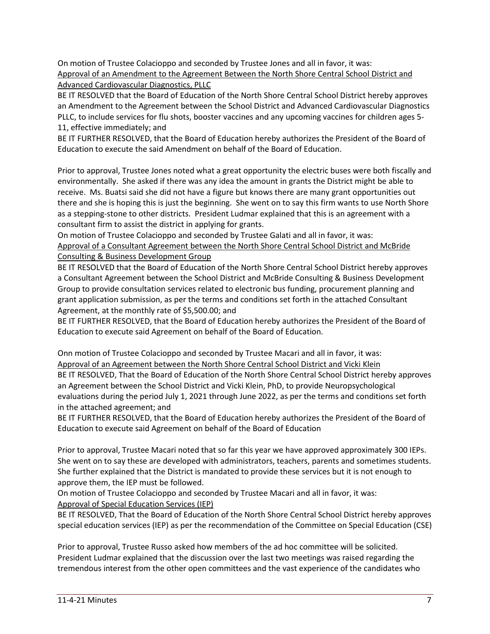On motion of Trustee Colacioppo and seconded by Trustee Jones and all in favor, it was: Approval of an Amendment to the Agreement Between the North Shore Central School District and Advanced Cardiovascular Diagnostics, PLLC

BE IT RESOLVED that the Board of Education of the North Shore Central School District hereby approves an Amendment to the Agreement between the School District and Advanced Cardiovascular Diagnostics PLLC, to include services for flu shots, booster vaccines and any upcoming vaccines for children ages 5- 11, effective immediately; and

BE IT FURTHER RESOLVED, that the Board of Education hereby authorizes the President of the Board of Education to execute the said Amendment on behalf of the Board of Education.

Prior to approval, Trustee Jones noted what a great opportunity the electric buses were both fiscally and environmentally. She asked if there was any idea the amount in grants the District might be able to receive. Ms. Buatsi said she did not have a figure but knows there are many grant opportunities out there and she is hoping this is just the beginning. She went on to say this firm wants to use North Shore as a stepping-stone to other districts. President Ludmar explained that this is an agreement with a consultant firm to assist the district in applying for grants.

On motion of Trustee Colacioppo and seconded by Trustee Galati and all in favor, it was: Approval of a Consultant Agreement between the North Shore Central School District and McBride Consulting & Business Development Group

BE IT RESOLVED that the Board of Education of the North Shore Central School District hereby approves a Consultant Agreement between the School District and McBride Consulting & Business Development Group to provide consultation services related to electronic bus funding, procurement planning and grant application submission, as per the terms and conditions set forth in the attached Consultant Agreement, at the monthly rate of \$5,500.00; and

BE IT FURTHER RESOLVED, that the Board of Education hereby authorizes the President of the Board of Education to execute said Agreement on behalf of the Board of Education.

Onn motion of Trustee Colacioppo and seconded by Trustee Macari and all in favor, it was: Approval of an Agreement between the North Shore Central School District and Vicki Klein BE IT RESOLVED, That the Board of Education of the North Shore Central School District hereby approves an Agreement between the School District and Vicki Klein, PhD, to provide Neuropsychological evaluations during the period July 1, 2021 through June 2022, as per the terms and conditions set forth in the attached agreement; and

BE IT FURTHER RESOLVED, that the Board of Education hereby authorizes the President of the Board of Education to execute said Agreement on behalf of the Board of Education

Prior to approval, Trustee Macari noted that so far this year we have approved approximately 300 IEPs. She went on to say these are developed with administrators, teachers, parents and sometimes students. She further explained that the District is mandated to provide these services but it is not enough to approve them, the IEP must be followed.

On motion of Trustee Colacioppo and seconded by Trustee Macari and all in favor, it was: Approval of Special Education Services (IEP)

BE IT RESOLVED, That the Board of Education of the North Shore Central School District hereby approves special education services (IEP) as per the recommendation of the Committee on Special Education (CSE)

Prior to approval, Trustee Russo asked how members of the ad hoc committee will be solicited. President Ludmar explained that the discussion over the last two meetings was raised regarding the tremendous interest from the other open committees and the vast experience of the candidates who